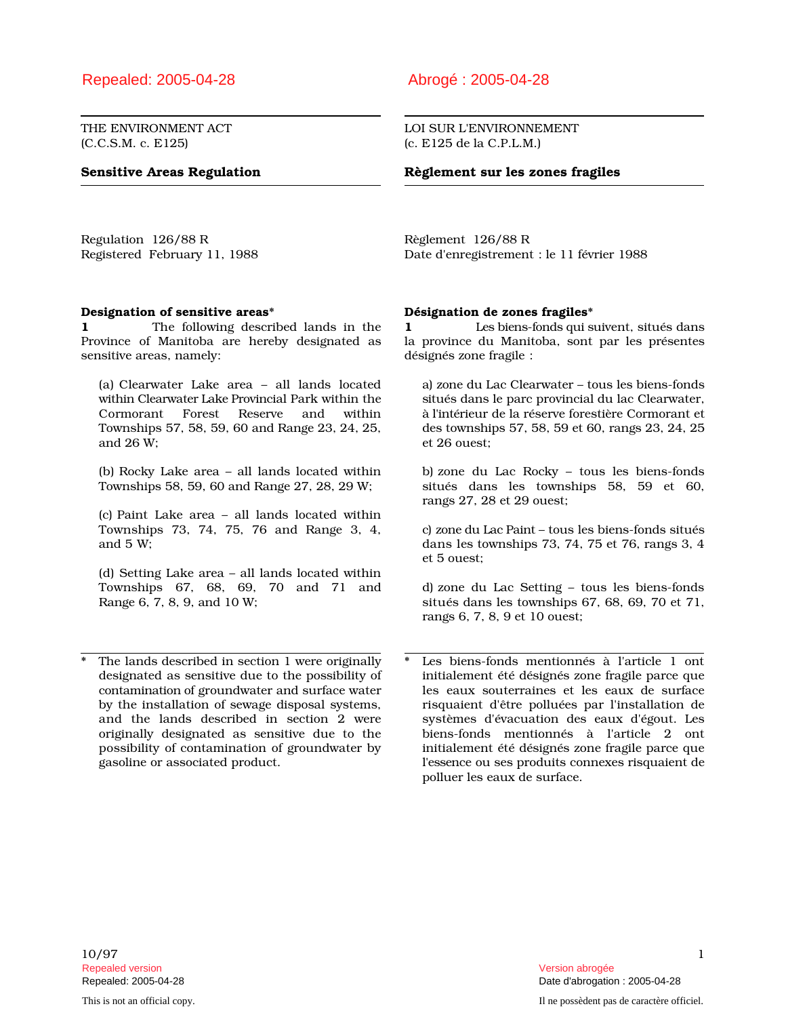# Repealed: 2005-04-28 Abrogé : 2005-04-28

(C.C.S.M. c. E125) (c. E125 de la C.P.L.M.)

Regulation 126/88 R Règlement 126/88 R

## Designation of sensitive areas\* Désignation de zones fragiles\*

1 The following described lands in the 1 Les biens-fonds qui suivent, situés dans Province of Manitoba are hereby designated as la province du Manitoba, sont par les présentes sensitive areas, namely: désignés zone fragile :

and 26 W; et 26 ouest;

(b) Rocky Lake area – all lands located within b) zone du Lac Rocky – tous les biens-fonds

(c) Paint Lake area – all lands located within Townships 73, 74, 75, 76 and Range 3, 4, c) zone du Lac Paint – tous les biens-fonds situés

(d) Setting Lake area – all lands located within<br>Townships 67, 68, 69, 70 and 71 and Townships 67, 68, 69, 70 and 71 and d) zone du Lac Setting – tous les biens-fonds

THE ENVIRONMENT ACT LOI SUR L'ENVIRONNEMENT

### Sensitive Areas Regulation Règlement sur les zones fragiles

Registered February 11, 1988 Date d'enregistrement : le 11 février 1988

(a) Clearwater Lake area – all lands located a) zone du Lac Clearwater – tous les biens-fonds within Clearwater Lake Provincial Park within the situés dans le parc provincial du lac Clearwater, Cormorant Forest Reserve and within à l'intérieur de la réserve forestière Cormorant et Townships 57, 58, 59, 60 and Range 23, 24, 25, des townships 57, 58, 59 et 60, rangs 23, 24, 25

Townships 58, 59, 60 and Range 27, 28, 29 W; situés dans les townships 58, 59 et 60, rangs 27, 28 et 29 ouest;

> dans les townships 73, 74, 75 et 76, rangs 3, 4 et 5 ouest;

> situés dans les townships 67, 68, 69, 70 et 71, rangs 6, 7, 8, 9 et 10 ouest;

\* The lands described in section 1 were originally \* Les biens-fonds mentionnés à l'article 1 ont designated as sensitive due to the possibility of initialement été désignés zone fragile parce que contamination of groundwater and surface water les eaux souterraines et les eaux de surface by the installation of sewage disposal systems, risquaient d'être polluées par l'installation de and the lands described in section 2 were systèmes d'évacuation des eaux d'égout. Les originally designated as sensitive due to the biens-fonds mentionnés à l'article 2 ont possibility of contamination of groundwater by initialement été désignés zone fragile parce que gasoline or associated product. l'essence ou ses produits connexes risquaient de polluer les eaux de surface.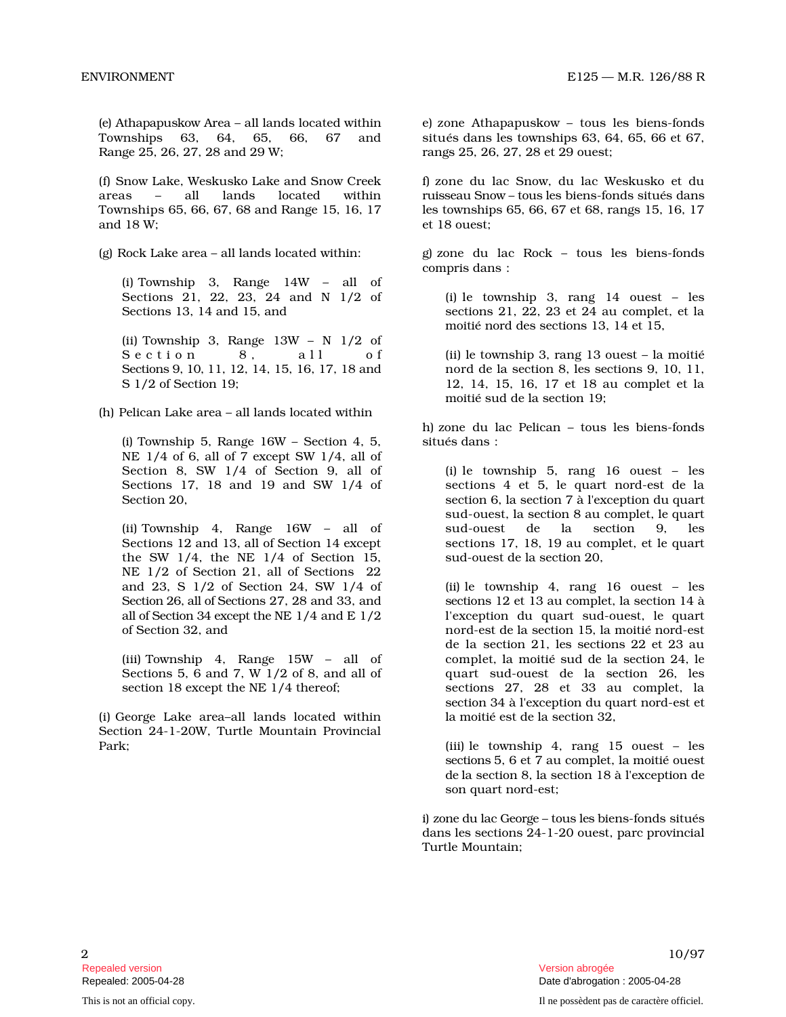Range 25, 26, 27, 28 and 29 W; rangs 25, 26, 27, 28 et 29 ouest;

(f) Snow Lake, Weskusko Lake and Snow Creek a r e a  $\sim$  $a$ ll a n ds located within Townships 65, 66, 67, 68 and Range 15, 16, 1 and 18 W; et 18 ouest;

 $(g)$  Rock Lake area – all lands located within:

(i ) Township 3, Ra n ge 14W – all o f Sections 21, 22, 23, 24 and N 1/2 o Sections 13, 14 and 15, and

(ii) Township 3, Range  $13W - N$  1/2 of S e c t i o n 8 , a ll o f Sections 9, 10, 11, 12, 14, 15, 16, 17, 18 and S 1/2 of Section 19:

(h) Pelican Lake area – all lands located within

 $(i)$  Township 5, Range  $16W$  – Section 4, 5 NE 1/4 of 6, all of 7 except SW 1/4, all of Section 8, SW 1/4 of Section 9, all o Sections 17, 18 and 19 and SW 1/4 o Section 20, section 6, la section 7 à l'exception du quart

(ii) Township 4, Ra n ge 16W – all o f Sections 12 and 13, all of Section 14 excep the SW  $1/4$ , the NE  $1/4$  of Section 15 NE 1/2 of Section 21, all of Sections 22 and 23, S 1/2 of Section 24, SW 1/4 o Section 26, all of Sections 27, 28 and 33, and sec all of Sec ti on 34 exce pt the NE 1/4 and E 1/2 of Section 32, and

(iii) Township 4, Ra n ge 15W – all o f Sections 5, 6 and 7, W 1/2 of 8, and all of section 18 except the NE  $1/4$  thereof;

(i) George Lake area-all lands located withi Section 24-1-20W, Turtle Mountain Provincial Park; (iii) le

kusko et du ru isse au Sn ow – t o us les biens-fonds situés dans 7 les t o wn s h i ps 65, 66, 67 et 68, r a n gs 15, 16, 1 7

> du lac Rock - tous les biens-fonds compris dans :

f (i) le township 3, rang 14 ouest – les et 24 au complet, et la moitié nord des sections 13, 14 et 15,

f (ii) le township 3, rang 13 ouest – la moitié nord de la section 8, les sections 9, 10, 11, et 18 au c o m p l et et l a moitié sud de la section 19;

, situés dans : h) zone du lac Pelican – tous les biens-fonds

f (i) le township 5, rang 16 ouest – les f sections 4 et 5, le quart nord-est de la sud-ouest de la section 9, l e s t sections 17, 18, 19 au complet, et le quart , sud-ouest de la section 20, sud-ouest, la section 8 au complet, le quart

24 10/97 (e) Athapapuskow Area – all lands located within  $\alpha$  12/97 (e) Area – 2007 (e) Area – 2007 (e) Area – 2007 (e) Area – 2007 (e) Area – 2007 (e) Area – 2007 (e) Area – 2007 (e) Area – 2007 (e) Area – all lands loc f (ii) le township 4, rang 16 ouest – les sections 12 et 13 au complet, la section 14 à l'exception du quart sud-ouest, le quart nord-est de la section 15, la moitié nord-est complet, la moitié sud de la section 24, le quart sud-ouest de la section 26, les et 33 au complet, la la moitié est de la section 32, de la section 21, les sections 22 et 23 au s ection 34 à l'exception du quart nord-est et

township 4, rang 15 ouest – les sec ti o ns 5, 6 et 7 au complet, la moitié ouest de la section 8, la section 18 à l'exception de son quart nord-est;

i) z o ne du l ac G e o rge – t o us les biens-fonds situés dans les sections 24-1-20 ouest, parc provincial Turtle Mountain;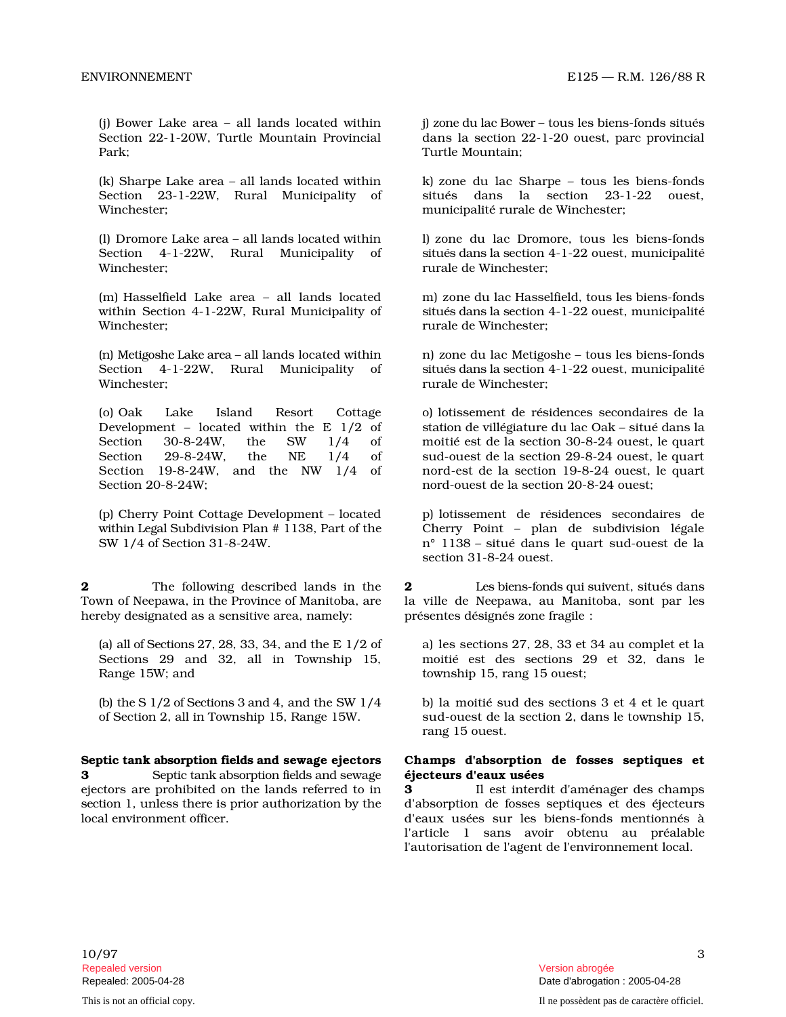(j) Bower Lake area – all lands located within j) Section 22-1-20W, Turtle Mountain Provincial Park; Turtle Mountain;

(k) Sharpe Lake area  $-$  all lands located within Section 23-1-22W, Rural Municipality o Winchester; municipalité rurale de Winchester;

(1) Dromore Lake area – all lands located within 1) Section 4-1-22W, Rural Municipality of Winchester; example a metal of the control of the rurale de Winchester;

(m) Hasselfield Lake area  $-$  all lands located within Section 4-1-22W, Rural Municipality of Winchester; **rurale de Winchester; rurale de Winchester**;

(n) Metigoshe Lake area  $-$  all lands located within Section 4-1-22W, Rural Municipality of Winchester; rurale de Winchester;

(o) Oak Lake Island Resort Cottage o) lotissement de résidences secondaires de la Development – located within the  $E$  1/2 of Section - 8 -24W, t he SW 1 /4 o f Section - 8 -24W, t he NE 1 /4 o Section 19-8-24W, and the NW 1/4 of Section 20-8-24W; nord-ouest de la section 20-8-24 ouest;

(p) Cherry Point Cottage Development – located wi th i n Le g al S ubdivision Plan # 1138, Part of the Cherry SW 1/4 of Section 31-8-24W.

2 The following described lands in the Town of Neepawa, in the Province of Manitoba, are hereby designated as a sensitive area, namely:

( a) all of Sec ti o ns 27, 28, 33, 34, and the E 1/2 of Sections 29 and 32, all in Township 15 Range 15W; and township 15, rang 15 ouest;

(b) the S  $1/2$  of Sections 3 and 4, and the SW  $1/4$ of Section 2, all in Township 15, Range 15W.

### Septic tank absorption fields and sewage ejectors 3 Septic tank absorption fields

ejectors are prohibited on the lands referred to in sec tion 1, unless there is prior authorization by the local environment officer.

z o ne du l ac B ower – tous les biens-fonds situés dans la section 22-1-20 ouest, parc provincial

a r pe – t o us les b i e n s - fo n d s f situés dans la section 23-1-22 ouest,

> zone du lac Dromore, tous les biens-fonds s i tués d ans la section 4-1-22 ouest, municipalité

> lfield, tous les biens-fonds s i tués d ans la section 4-1-22 ouest, municipalité

> she – tous les biens-fonds s i tués d ans la section 4-1-22 ouest, municipalité

s t ation de villégiature du lac Oak – situé dans la moitié est de la section 30-8-24 ouest, le quart f sud-ouest de la section 29-8-24 ouest, le quart nord-est de la section 19-8-24 ouest, le quart

> p) lotissement de résidences secondaires de Point – plan de subdivision légale – situé dans le quart sud-ouest de la section 31-8-24 ouest.

2 Les biens-fonds qui suivent, situés dans la ville de Neepawa, au Manitoba, sont par les présentes désignés zone fragile :

a) les sections 27, 28, 33 et 34 au complet et la , moitié est des sections 29 et 32, dans le

> et 4 et le q u a r t sud-ouest de la section 2, dans le township 15, rang 15 ouest.

## Champs d'absorption de fosses septiques et éjecteurs d'eaux usées

3 Il est interdit d'aménager des champs d'absorption de fosses septiques et des éjecteurs d'eaux usées sur les biens-fonds mentionnés à l'article 1 sans avoir obtenu au préalable l'autorisation de l'agent de l'environnement local.

10/97 Repealed version abrogée et al. Alian abrogée et al. Alian abrogée et al. Alian abrogée et al. Alian abrogée e

This is not an official copy. Il ne possèdent pas de caractère officiel.